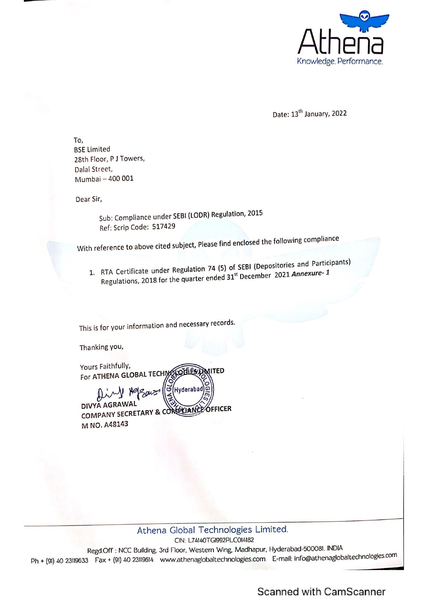

Date: 13<sup>th</sup> January, 2022

To, BSE Limited 28th Floor, P J Towers, Dalal Street, Mumbai — 400 001

Dear Sir,

Sub: Compliance under SEBI (LODR) Regulation, <sup>2015</sup> Ref: Scrip Code: 517429

With reference to above cited subject, Please find enclosed the following compliance

1. RTA Certificate under Regulation 74 (5) of SEBI (Depositories and Participants) Regulations, 2018 for the quarter ended 31<sup>st</sup> December 2021 Annexure- 1

This is for your information and necessary records.

Thanking you,

Yours Faithfully, For ATHENA GLOBAL TECHMS  $\frac{1}{2}$ 

г. DIVYA AGRAWAL DIVYA AGRAMAL M NO. A48143 Dear Sir,<br>
Sub: Compliance under SEBI (LODR) Regulation, 2015<br>
Ref: Scrip Code: 517429<br>
With reference to above cited subject, Please find enclosed the follo<br>
1. RTA Certificate under Regulation 74 (5) of SEBI (Depositor<br>

3rd Floor, W<br>www.ather<br> CIN: L74140TGI992PLCO14182 Regd Off : NCC Building, 3rd Floor, Western Wing, Madhapur, Hyderabad-50008!. INDIA Ph + (91) 40 23119633 Fax + (91) 40 23119614 ~www.athenaglobaltechnologies.com E-mail: info@athenaglobaltechnologies.com

Scanned with CamScanner